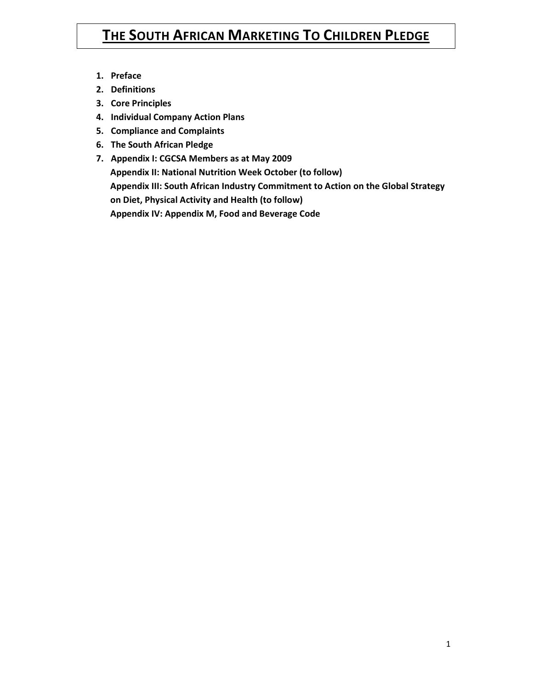# **THE SOUTH AFRICAN MARKETING TO CHILDREN PLEDGE**

- **1. Preface**
- **2. Definitions**
- **3. Core Principles**
- **4. Individual Company Action Plans**
- **5. Compliance and Complaints**
- **6. The South African Pledge**
- **7. Appendix I: CGCSA Members as at May 2009 Appendix II: National Nutrition Week October (to follow) Appendix III: South African Industry Commitment to Action on the Global Strategy on Diet, Physical Activity and Health (to follow) Appendix IV: Appendix M, Food and Beverage Code**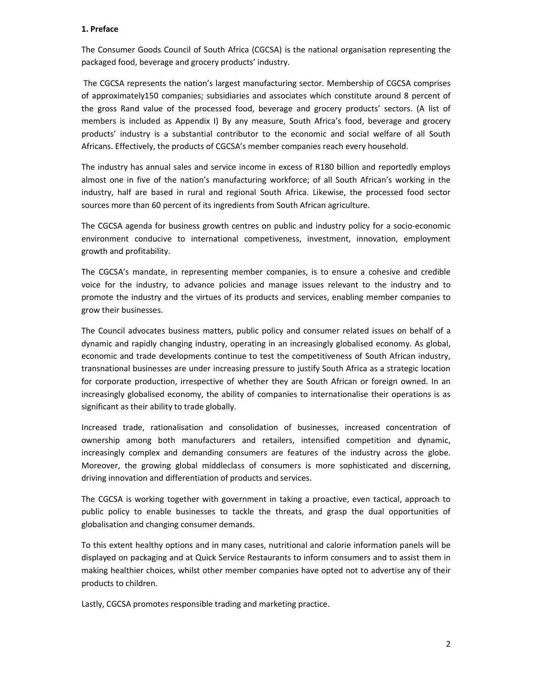# **1. Preface**

The Consumer Goods Council of South Africa (CGCSA) is the national organisation representing the packaged food, beverage and grocery products' industry.

 The CGCSA represents the nation's largest manufacturing sector. Membership of CGCSA comprises of approximately150 companies; subsidiaries and associates which constitute around 8 percent of the gross Rand value of the processed food, beverage and grocery products' sectors. (A list of members is included as Appendix I) By any measure, South Africa's food, beverage and grocery products' industry is a substantial contributor to the economic and social welfare of all South Africans. Effectively, the products of CGCSA's member companies reach every household.

The industry has annual sales and service income in excess of R180 billion and reportedly employs almost one in five of the nation's manufacturing workforce; of all South African's working in the industry, half are based in rural and regional South Africa. Likewise, the processed food sector sources more than 60 percent of its ingredients from South African agriculture.

The CGCSA agenda for business growth centres on public and industry policy for a socio-economic environment conducive to international competiveness, investment, innovation, employment growth and profitability.

The CGCSA's mandate, in representing member companies, is to ensure a cohesive and credible voice for the industry, to advance policies and manage issues relevant to the industry and to promote the industry and the virtues of its products and services, enabling member companies to grow their businesses.

The Council advocates business matters, public policy and consumer related issues on behalf of a dynamic and rapidly changing industry, operating in an increasingly globalised economy. As global, economic and trade developments continue to test the competitiveness of South African industry, transnational businesses are under increasing pressure to justify South Africa as a strategic location for corporate production, irrespective of whether they are South African or foreign owned. In an increasingly globalised economy, the ability of companies to internationalise their operations is as significant as their ability to trade globally.

Increased trade, rationalisation and consolidation of businesses, increased concentration of ownership among both manufacturers and retailers, intensified competition and dynamic, increasingly complex and demanding consumers are features of the industry across the globe. Moreover, the growing global middleclass of consumers is more sophisticated and discerning, driving innovation and differentiation of products and services.

The CGCSA is working together with government in taking a proactive, even tactical, approach to public policy to enable businesses to tackle the threats, and grasp the dual opportunities of globalisation and changing consumer demands.

To this extent healthy options and in many cases, nutritional and calorie information panels will be displayed on packaging and at Quick Service Restaurants to inform consumers and to assist them in making healthier choices, whilst other member companies have opted not to advertise any of their products to children.

Lastly, CGCSA promotes responsible trading and marketing practice.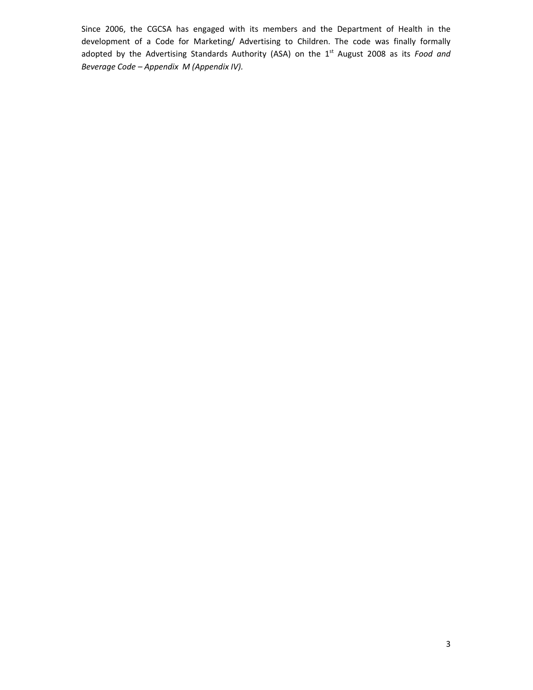Since 2006, the CGCSA has engaged with its members and the Department of Health in the development of a Code for Marketing/ Advertising to Children. The code was finally formally adopted by the Advertising Standards Authority (ASA) on the 1<sup>st</sup> August 2008 as its *Food and Beverage Code – Appendix M (Appendix IV).*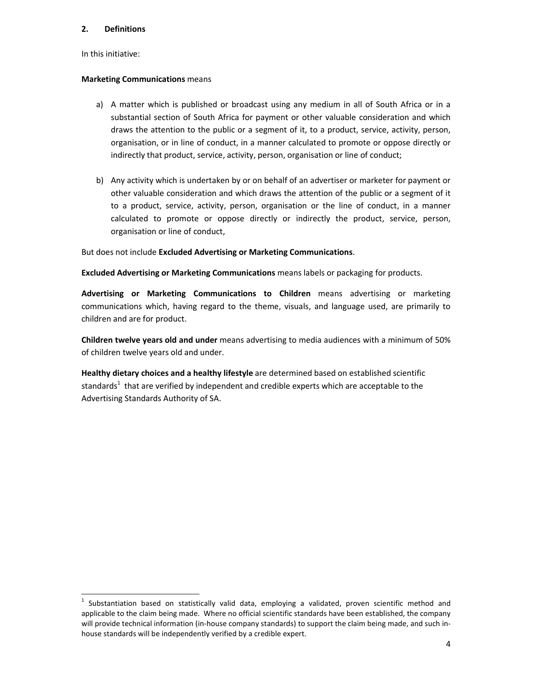# **2. Definitions**

In this initiative:

l,

# **Marketing Communications** means

- a) A matter which is published or broadcast using any medium in all of South Africa or in a substantial section of South Africa for payment or other valuable consideration and which draws the attention to the public or a segment of it, to a product, service, activity, person, organisation, or in line of conduct, in a manner calculated to promote or oppose directly or indirectly that product, service, activity, person, organisation or line of conduct;
- b) Any activity which is undertaken by or on behalf of an advertiser or marketer for payment or other valuable consideration and which draws the attention of the public or a segment of it to a product, service, activity, person, organisation or the line of conduct, in a manner calculated to promote or oppose directly or indirectly the product, service, person, organisation or line of conduct,

But does not include **Excluded Advertising or Marketing Communications**.

**Excluded Advertising or Marketing Communications** means labels or packaging for products.

**Advertising or Marketing Communications to Children** means advertising or marketing communications which, having regard to the theme, visuals, and language used, are primarily to children and are for product.

**Children twelve years old and under** means advertising to media audiences with a minimum of 50% of children twelve years old and under.

**Healthy dietary choices and a healthy lifestyle** are determined based on established scientific standards<sup>1</sup> that are verified by independent and credible experts which are acceptable to the Advertising Standards Authority of SA.

<sup>1</sup> Substantiation based on statistically valid data, employing a validated, proven scientific method and applicable to the claim being made. Where no official scientific standards have been established, the company will provide technical information (in-house company standards) to support the claim being made, and such inhouse standards will be independently verified by a credible expert.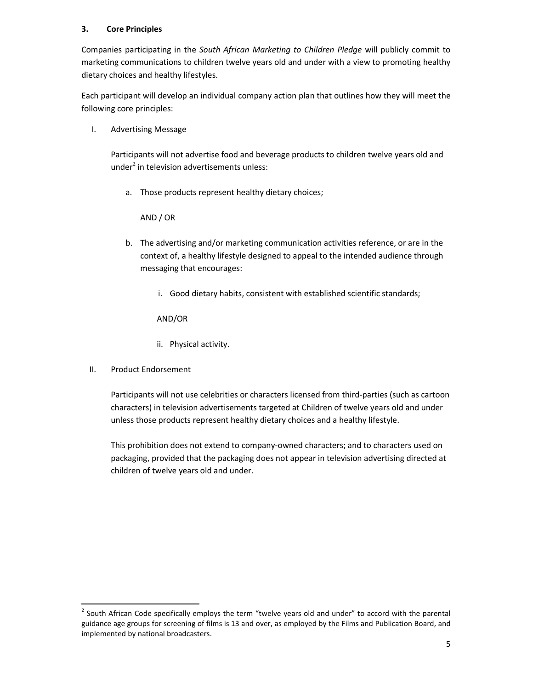# **3. Core Principles**

Companies participating in the *South African Marketing to Children Pledge* will publicly commit to marketing communications to children twelve years old and under with a view to promoting healthy dietary choices and healthy lifestyles.

Each participant will develop an individual company action plan that outlines how they will meet the following core principles:

I. Advertising Message

Participants will not advertise food and beverage products to children twelve years old and under<sup>2</sup> in television advertisements unless:

a. Those products represent healthy dietary choices;

AND / OR

- b. The advertising and/or marketing communication activities reference, or are in the context of, a healthy lifestyle designed to appeal to the intended audience through messaging that encourages:
	- i. Good dietary habits, consistent with established scientific standards;

AND/OR

- ii. Physical activity.
- II. Product Endorsement

l,

Participants will not use celebrities or characters licensed from third-parties (such as cartoon characters) in television advertisements targeted at Children of twelve years old and under unless those products represent healthy dietary choices and a healthy lifestyle.

This prohibition does not extend to company-owned characters; and to characters used on packaging, provided that the packaging does not appear in television advertising directed at children of twelve years old and under.

 $2$  South African Code specifically employs the term "twelve years old and under" to accord with the parental guidance age groups for screening of films is 13 and over, as employed by the Films and Publication Board, and implemented by national broadcasters.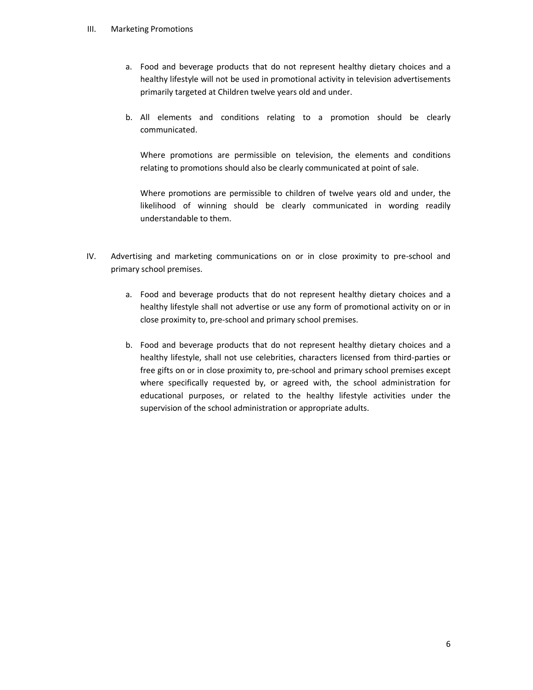# III. Marketing Promotions

- a. Food and beverage products that do not represent healthy dietary choices and a healthy lifestyle will not be used in promotional activity in television advertisements primarily targeted at Children twelve years old and under.
- b. All elements and conditions relating to a promotion should be clearly communicated.

Where promotions are permissible on television, the elements and conditions relating to promotions should also be clearly communicated at point of sale.

Where promotions are permissible to children of twelve years old and under, the likelihood of winning should be clearly communicated in wording readily understandable to them.

- IV. Advertising and marketing communications on or in close proximity to pre-school and primary school premises.
	- a. Food and beverage products that do not represent healthy dietary choices and a healthy lifestyle shall not advertise or use any form of promotional activity on or in close proximity to, pre-school and primary school premises.
	- b. Food and beverage products that do not represent healthy dietary choices and a healthy lifestyle, shall not use celebrities, characters licensed from third-parties or free gifts on or in close proximity to, pre-school and primary school premises except where specifically requested by, or agreed with, the school administration for educational purposes, or related to the healthy lifestyle activities under the supervision of the school administration or appropriate adults.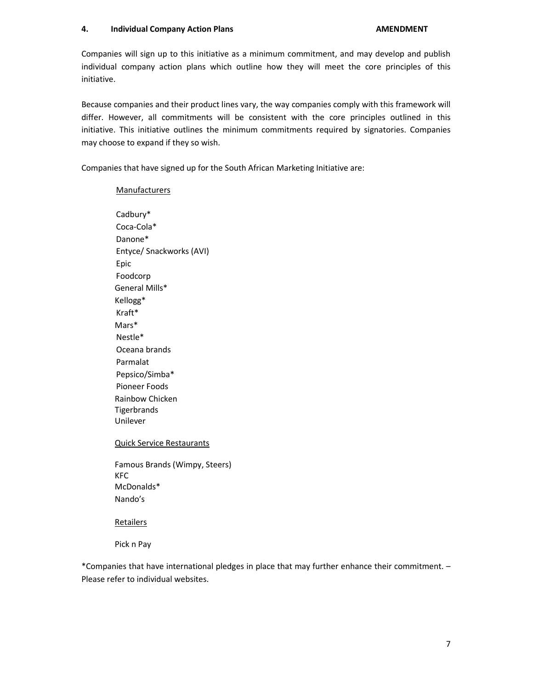# **4.** Individual Company Action Plans **AMENOWENT AMENDMENT**

Companies will sign up to this initiative as a minimum commitment, and may develop and publish individual company action plans which outline how they will meet the core principles of this initiative.

Because companies and their product lines vary, the way companies comply with this framework will differ. However, all commitments will be consistent with the core principles outlined in this initiative. This initiative outlines the minimum commitments required by signatories. Companies may choose to expand if they so wish.

Companies that have signed up for the South African Marketing Initiative are:

# **Manufacturers**

Cadbury\* Coca-Cola\* Danone\* Entyce/ Snackworks (AVI) Epic Foodcorp General Mills\* Kellogg\* Kraft\* Mars\* Nestle\* Oceana brands Parmalat Pepsico/Simba\* Pioneer Foods Rainbow Chicken **Tigerbrands** Unilever

Quick Service Restaurants

Famous Brands (Wimpy, Steers) KFC McDonalds\* Nando's

#### **Retailers**

Pick n Pay

\*Companies that have international pledges in place that may further enhance their commitment. – Please refer to individual websites.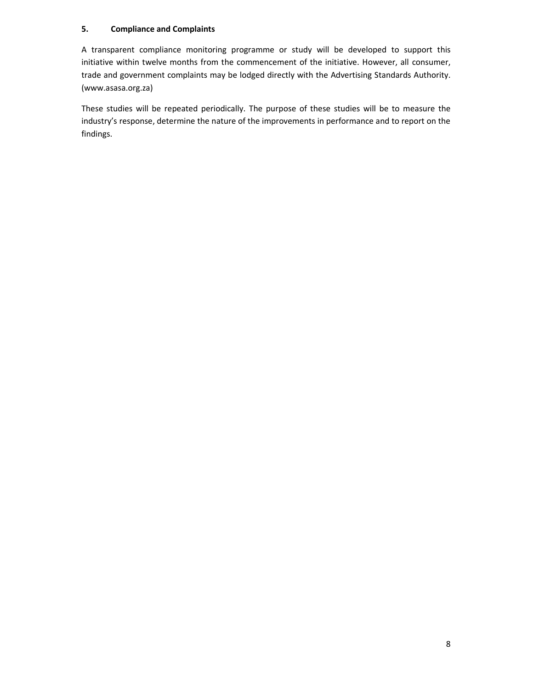# **5. Compliance and Complaints**

A transparent compliance monitoring programme or study will be developed to support this initiative within twelve months from the commencement of the initiative. However, all consumer, trade and government complaints may be lodged directly with the Advertising Standards Authority. (www.asasa.org.za)

These studies will be repeated periodically. The purpose of these studies will be to measure the industry's response, determine the nature of the improvements in performance and to report on the findings.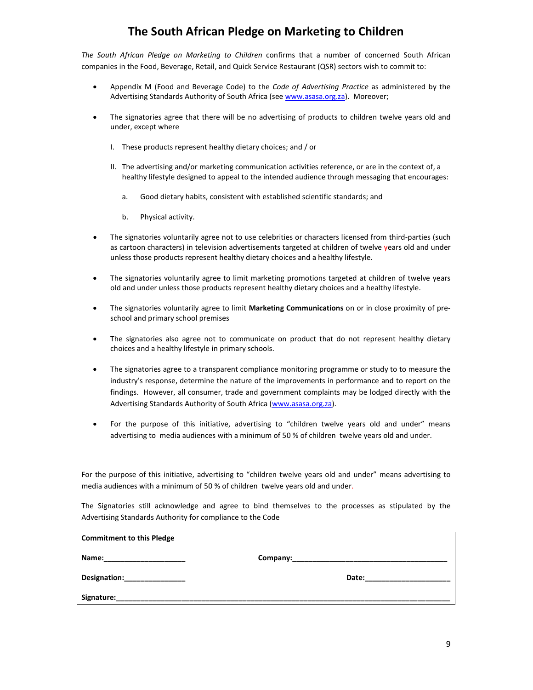# **The South African Pledge on Marketing to Children**

*The South African Pledge on Marketing to Children* confirms that a number of concerned South African companies in the Food, Beverage, Retail, and Quick Service Restaurant (QSR) sectors wish to commit to:

- Appendix M (Food and Beverage Code) to the *Code of Advertising Practice* as administered by the Advertising Standards Authority of South Africa (see www.asasa.org.za). Moreover;
- The signatories agree that there will be no advertising of products to children twelve years old and under, except where
	- I. These products represent healthy dietary choices; and / or
	- II. The advertising and/or marketing communication activities reference, or are in the context of, a healthy lifestyle designed to appeal to the intended audience through messaging that encourages:
		- a. Good dietary habits, consistent with established scientific standards; and
		- b. Physical activity.
- The signatories voluntarily agree not to use celebrities or characters licensed from third-parties (such as cartoon characters) in television advertisements targeted at children of twelve years old and under unless those products represent healthy dietary choices and a healthy lifestyle.
- The signatories voluntarily agree to limit marketing promotions targeted at children of twelve years old and under unless those products represent healthy dietary choices and a healthy lifestyle.
- The signatories voluntarily agree to limit **Marketing Communications** on or in close proximity of preschool and primary school premises
- The signatories also agree not to communicate on product that do not represent healthy dietary choices and a healthy lifestyle in primary schools.
- The signatories agree to a transparent compliance monitoring programme or study to to measure the industry's response, determine the nature of the improvements in performance and to report on the findings. However, all consumer, trade and government complaints may be lodged directly with the Advertising Standards Authority of South Africa (www.asasa.org.za).
- For the purpose of this initiative, advertising to "children twelve years old and under" means advertising to media audiences with a minimum of 50 % of children twelve years old and under.

For the purpose of this initiative, advertising to "children twelve years old and under" means advertising to media audiences with a minimum of 50 % of children twelve years old and under.

The Signatories still acknowledge and agree to bind themselves to the processes as stipulated by the Advertising Standards Authority for compliance to the Code

| <b>Commitment to this Pledge</b> |                                                                                                                                                                                                                                |
|----------------------------------|--------------------------------------------------------------------------------------------------------------------------------------------------------------------------------------------------------------------------------|
| Name:_______________________     |                                                                                                                                                                                                                                |
| Designation:_______________      | Date: the contract of the contract of the contract of the contract of the contract of the contract of the contract of the contract of the contract of the contract of the contract of the contract of the contract of the cont |
| Signature:                       |                                                                                                                                                                                                                                |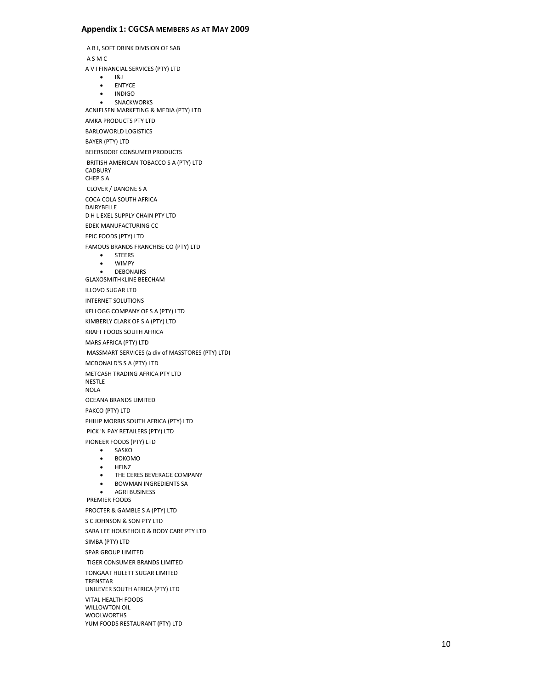#### **Appendix 1: CGCSA MEMBERS AS AT MAY 2009**

A B I, SOFT DRINK DIVISION OF SAB A S M C A V I FINANCIAL SERVICES (PTY) LTD • I&J • ENTYCE • INDIGO • SNACKWORKS ACNIELSEN MARKETING & MEDIA (PTY) LTD AMKA PRODUCTS PTY LTD BARLOWORLD LOGISTICS BAYER (PTY) LTD BEIERSDORF CONSUMER PRODUCTS BRITISH AMERICAN TOBACCO S A (PTY) LTD CADBURY CHEP S A CLOVER / DANONE S A COCA COLA SOUTH AFRICA DAIRYBELLE D H L EXEL SUPPLY CHAIN PTY LTD EDEK MANUFACTURING CC EPIC FOODS (PTY) LTD FAMOUS BRANDS FRANCHISE CO (PTY) LTD • STEERS • WIMPY • DEBONAIRS GLAXOSMITHKLINE BEECHAM ILLOVO SUGAR LTD INTERNET SOLUTIONS KELLOGG COMPANY OF S A (PTY) LTD KIMBERLY CLARK OF S A (PTY) LTD KRAFT FOODS SOUTH AFRICA MARS AFRICA (PTY) LTD MASSMART SERVICES (a div of MASSTORES (PTY) LTD ) MCDONALD'S S A (PTY) LTD METCASH TRADING AFRICA PTY LTD NESTLE NOLA OCEANA BRANDS LIMITED PAKCO (PTY) LTD PHILIP MORRIS SOUTH AFRICA (PTY) LTD PICK 'N PAY RETAILERS (PTY) LTD PIONEER FOODS (PTY) LTD • SASKO • BOKOMO • HEINZ • THE CERES BEVERAGE COMPANY • BOWMAN INGREDIENTS SA • AGRI BUSINESS PREMIER FOODS PROCTER & GAMBLE S A (PTY) LTD S C JOHNSON & SON PTY LTD SARA LEE HOUSEHOLD & BODY CARE PTY LTD SIMBA (PTY) LTD SPAR GROUP LIMITED TIGER CONSUMER BRANDS LIMITED TONGAAT HULETT SUGAR LIMITED TRENSTAR UNILEVER SOUTH AFRICA (PTY) LTD VITAL HEALTH FOODS WILLOWTON OIL WOOLWORTHS YUM FOODS RESTAURANT (PTY) LTD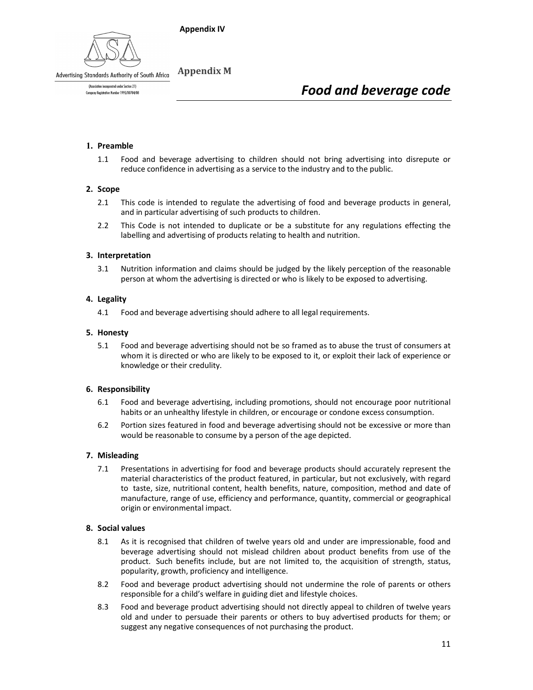# **Appendix IV**



**Appendix M**  Advertising Standards Authority of South Africa

> (Association incorporated under Section 21) Company Registration Number 1995/00784/08

# *Food and beverage code*

# **1. Preamble**

1.1 Food and beverage advertising to children should not bring advertising into disrepute or reduce confidence in advertising as a service to the industry and to the public.

#### **2. Scope**

- 2.1 This code is intended to regulate the advertising of food and beverage products in general, and in particular advertising of such products to children.
- 2.2 This Code is not intended to duplicate or be a substitute for any regulations effecting the labelling and advertising of products relating to health and nutrition.

# **3. Interpretation**

3.1 Nutrition information and claims should be judged by the likely perception of the reasonable person at whom the advertising is directed or who is likely to be exposed to advertising.

# **4. Legality**

4.1 Food and beverage advertising should adhere to all legal requirements.

#### **5. Honesty**

5.1 Food and beverage advertising should not be so framed as to abuse the trust of consumers at whom it is directed or who are likely to be exposed to it, or exploit their lack of experience or knowledge or their credulity.

#### **6. Responsibility**

- 6.1 Food and beverage advertising, including promotions, should not encourage poor nutritional habits or an unhealthy lifestyle in children, or encourage or condone excess consumption.
- 6.2 Portion sizes featured in food and beverage advertising should not be excessive or more than would be reasonable to consume by a person of the age depicted.

#### **7. Misleading**

7.1 Presentations in advertising for food and beverage products should accurately represent the material characteristics of the product featured, in particular, but not exclusively, with regard to taste, size, nutritional content, health benefits, nature, composition, method and date of manufacture, range of use, efficiency and performance, quantity, commercial or geographical origin or environmental impact.

#### **8. Social values**

- 8.1 As it is recognised that children of twelve years old and under are impressionable, food and beverage advertising should not mislead children about product benefits from use of the product. Such benefits include, but are not limited to, the acquisition of strength, status, popularity, growth, proficiency and intelligence.
- 8.2 Food and beverage product advertising should not undermine the role of parents or others responsible for a child's welfare in guiding diet and lifestyle choices.
- 8.3 Food and beverage product advertising should not directly appeal to children of twelve years old and under to persuade their parents or others to buy advertised products for them; or suggest any negative consequences of not purchasing the product.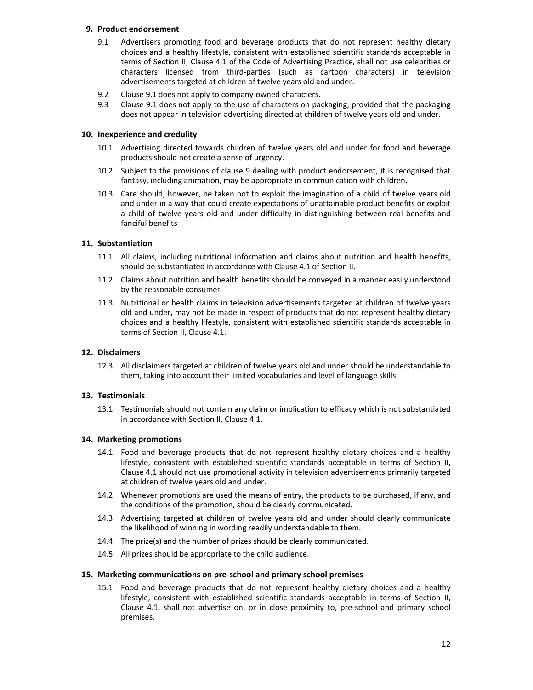# **9. Product endorsement**

- 9.1 Advertisers promoting food and beverage products that do not represent healthy dietary choices and a healthy lifestyle, consistent with established scientific standards acceptable in terms of Section II, Clause 4.1 of the Code of Advertising Practice, shall not use celebrities or characters licensed from third-parties (such as cartoon characters) in television advertisements targeted at children of twelve years old and under.
- 9.2 Clause 9.1 does not apply to company-owned characters.
- 9.3 Clause 9.1 does not apply to the use of characters on packaging, provided that the packaging does not appear in television advertising directed at children of twelve years old and under.

# **10. Inexperience and credulity**

- 10.1 Advertising directed towards children of twelve years old and under for food and beverage products should not create a sense of urgency.
- 10.2 Subject to the provisions of clause 9 dealing with product endorsement, it is recognised that fantasy, including animation, may be appropriate in communication with children.
- 10.3 Care should, however, be taken not to exploit the imagination of a child of twelve years old and under in a way that could create expectations of unattainable product benefits or exploit a child of twelve years old and under difficulty in distinguishing between real benefits and fanciful benefits

# **11. Substantiation**

- 11.1 All claims, including nutritional information and claims about nutrition and health benefits, should be substantiated in accordance with Clause 4.1 of Section II.
- 11.2 Claims about nutrition and health benefits should be conveyed in a manner easily understood by the reasonable consumer.
- 11.3 Nutritional or health claims in television advertisements targeted at children of twelve years old and under, may not be made in respect of products that do not represent healthy dietary choices and a healthy lifestyle, consistent with established scientific standards acceptable in terms of Section II, Clause 4.1.

# **12. Disclaimers**

12.3 All disclaimers targeted at children of twelve years old and under should be understandable to them, taking into account their limited vocabularies and level of language skills.

#### **13. Testimonials**

13.1 Testimonials should not contain any claim or implication to efficacy which is not substantiated in accordance with Section II, Clause 4.1.

#### **14. Marketing promotions**

- 14.1 Food and beverage products that do not represent healthy dietary choices and a healthy lifestyle, consistent with established scientific standards acceptable in terms of Section II, Clause 4.1 should not use promotional activity in television advertisements primarily targeted at children of twelve years old and under.
- 14.2 Whenever promotions are used the means of entry, the products to be purchased, if any, and the conditions of the promotion, should be clearly communicated.
- 14.3 Advertising targeted at children of twelve years old and under should clearly communicate the likelihood of winning in wording readily understandable to them.
- 14.4 The prize(s) and the number of prizes should be clearly communicated.
- 14.5 All prizes should be appropriate to the child audience.

#### **15. Marketing communications on pre-school and primary school premises**

15.1 Food and beverage products that do not represent healthy dietary choices and a healthy lifestyle, consistent with established scientific standards acceptable in terms of Section II, Clause 4.1, shall not advertise on, or in close proximity to, pre-school and primary school premises.